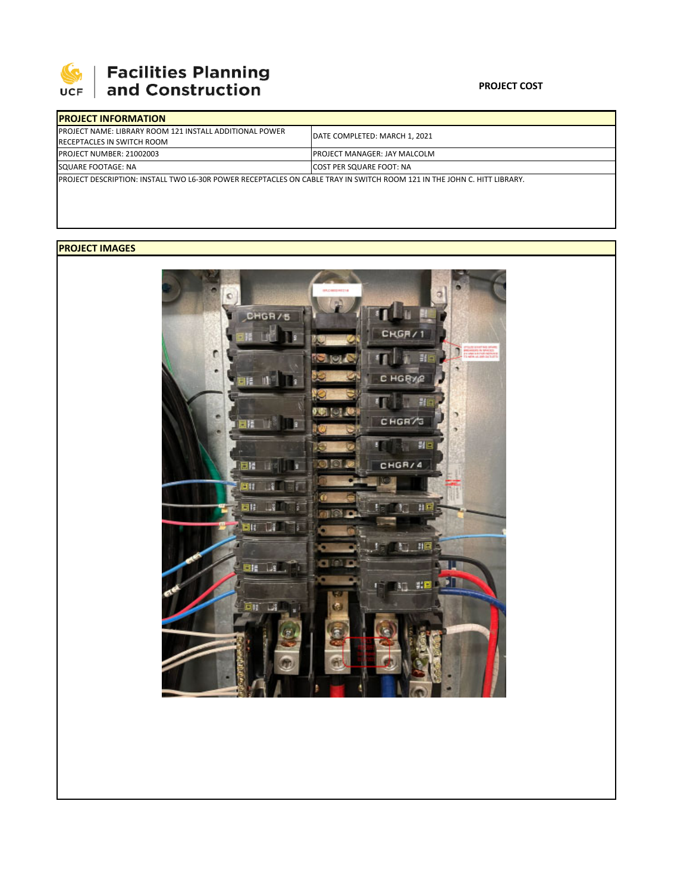

 $\mathbb{L}$ 

## **Facilities Planning<br>and Construction**

## **PROJECT COST**

| <b>IPROJECT INFORMATION</b>                                                                                                     |                                      |  |  |  |
|---------------------------------------------------------------------------------------------------------------------------------|--------------------------------------|--|--|--|
| <b>IPROJECT NAME: LIBRARY ROOM 121 INSTALL ADDITIONAL POWER</b><br><b>RECEPTACLES IN SWITCH ROOM</b>                            | DATE COMPLETED: MARCH 1, 2021        |  |  |  |
| <b>PROJECT NUMBER: 21002003</b>                                                                                                 | <b>IPROJECT MANAGER: JAY MALCOLM</b> |  |  |  |
| SQUARE FOOTAGE: NA                                                                                                              | <b>ICOST PER SQUARE FOOT: NA</b>     |  |  |  |
| <b>IPROJECT DESCRIPTION: INSTALL TWO L6-30R POWER RECEPTACLES ON CABLE TRAY IN SWITCH ROOM 121 IN THE JOHN C. HITT LIBRARY.</b> |                                      |  |  |  |

## **PROJECT IMAGES**